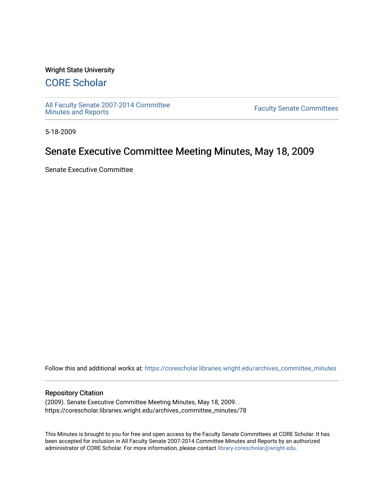### Wright State University

# [CORE Scholar](https://corescholar.libraries.wright.edu/)

[All Faculty Senate 2007-2014 Committee](https://corescholar.libraries.wright.edu/archives_committee_minutes)

**Faculty Senate Committees** 

5-18-2009

# Senate Executive Committee Meeting Minutes, May 18, 2009

Senate Executive Committee

Follow this and additional works at: [https://corescholar.libraries.wright.edu/archives\\_committee\\_minutes](https://corescholar.libraries.wright.edu/archives_committee_minutes?utm_source=corescholar.libraries.wright.edu%2Farchives_committee_minutes%2F78&utm_medium=PDF&utm_campaign=PDFCoverPages) 

#### Repository Citation

(2009). Senate Executive Committee Meeting Minutes, May 18, 2009. . https://corescholar.libraries.wright.edu/archives\_committee\_minutes/78

This Minutes is brought to you for free and open access by the Faculty Senate Committees at CORE Scholar. It has been accepted for inclusion in All Faculty Senate 2007-2014 Committee Minutes and Reports by an authorized administrator of CORE Scholar. For more information, please contact [library-corescholar@wright.edu.](mailto:library-corescholar@wright.edu)